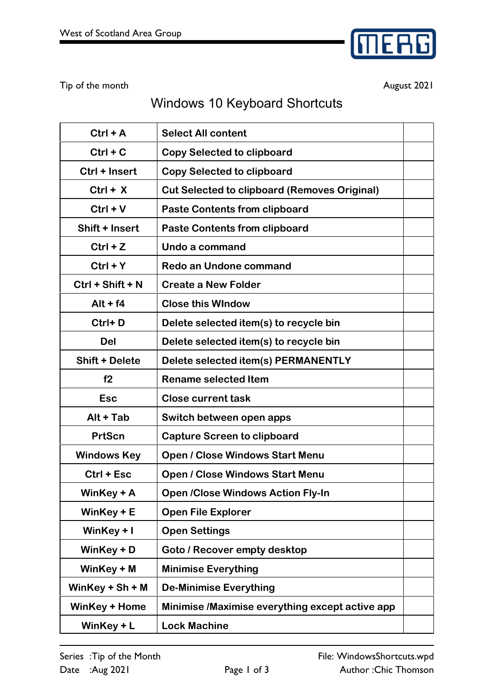

Tip of the month **August 2021** 

## Windows 10 Keyboard Shortcuts

| $Ctrl + A$            | <b>Select All content</b>                           |  |
|-----------------------|-----------------------------------------------------|--|
| $Ctrl + C$            | <b>Copy Selected to clipboard</b>                   |  |
| Ctrl + Insert         | <b>Copy Selected to clipboard</b>                   |  |
| $Ctrl + X$            | <b>Cut Selected to clipboard (Removes Original)</b> |  |
| $Ctrl + V$            | <b>Paste Contents from clipboard</b>                |  |
| Shift + Insert        | <b>Paste Contents from clipboard</b>                |  |
| $Ctrl + Z$            | Undo a command                                      |  |
| $Ctrl + Y$            | <b>Redo an Undone command</b>                       |  |
| $Ctrl + Shift + N$    | <b>Create a New Folder</b>                          |  |
| $Alt + f4$            | <b>Close this WIndow</b>                            |  |
| Ctrl+D                | Delete selected item(s) to recycle bin              |  |
| <b>Del</b>            | Delete selected item(s) to recycle bin              |  |
| <b>Shift + Delete</b> | Delete selected item(s) PERMANENTLY                 |  |
| f2                    | <b>Rename selected Item</b>                         |  |
| <b>Esc</b>            | <b>Close current task</b>                           |  |
| Alt + Tab             | Switch between open apps                            |  |
| <b>PrtScn</b>         | <b>Capture Screen to clipboard</b>                  |  |
| <b>Windows Key</b>    | <b>Open / Close Windows Start Menu</b>              |  |
| Ctrl + Esc            | <b>Open / Close Windows Start Menu</b>              |  |
| WinKey + A            | <b>Open /Close Windows Action Fly-In</b>            |  |
| WinKey $+ E$          | <b>Open File Explorer</b>                           |  |
| WinKey $+1$           | <b>Open Settings</b>                                |  |
| WinKey + D            | Goto / Recover empty desktop                        |  |
| WinKey + M            | <b>Minimise Everything</b>                          |  |
| WinKey + $Sh + M$     | <b>De-Minimise Everything</b>                       |  |
| <b>WinKey + Home</b>  | Minimise /Maximise everything except active app     |  |
| WinKey + L            | <b>Lock Machine</b>                                 |  |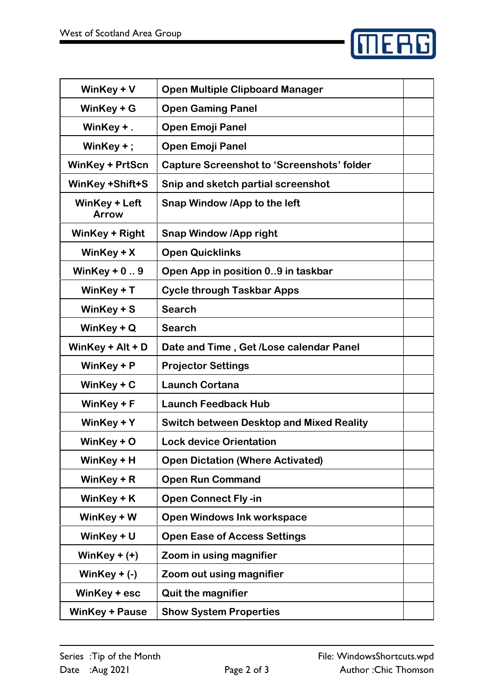

| WinKey + V                    | <b>Open Multiple Clipboard Manager</b>            |  |
|-------------------------------|---------------------------------------------------|--|
| WinKey $+$ G                  | <b>Open Gaming Panel</b>                          |  |
| WinKey +.                     | <b>Open Emoji Panel</b>                           |  |
| WinKey $+$ ;                  | <b>Open Emoji Panel</b>                           |  |
| <b>WinKey + PrtScn</b>        | <b>Capture Screenshot to 'Screenshots' folder</b> |  |
| <b>WinKey +Shift+S</b>        | Snip and sketch partial screenshot                |  |
| WinKey + Left<br><b>Arrow</b> | Snap Window /App to the left                      |  |
| WinKey + Right                | <b>Snap Window /App right</b>                     |  |
| WinKey $+ X$                  | <b>Open Quicklinks</b>                            |  |
| WinKey $+0.9$                 | Open App in position 09 in taskbar                |  |
| WinKey $+T$                   | <b>Cycle through Taskbar Apps</b>                 |  |
| WinKey + S                    | <b>Search</b>                                     |  |
| WinKey $+Q$                   | <b>Search</b>                                     |  |
| WinKey + $Alt + D$            | Date and Time, Get / Lose calendar Panel          |  |
| WinKey $+$ P                  | <b>Projector Settings</b>                         |  |
| WinKey $+ C$                  | <b>Launch Cortana</b>                             |  |
| WinKey $+$ F                  | <b>Launch Feedback Hub</b>                        |  |
| WinKey + Y                    | <b>Switch between Desktop and Mixed Reality</b>   |  |
| WinKey $+$ O                  | <b>Lock device Orientation</b>                    |  |
| WinKey + H                    | <b>Open Dictation (Where Activated)</b>           |  |
| WinKey + R                    | <b>Open Run Command</b>                           |  |
| WinKey $+$ K                  | <b>Open Connect Fly-in</b>                        |  |
| WinKey + W                    | <b>Open Windows Ink workspace</b>                 |  |
| WinKey $+U$                   | <b>Open Ease of Access Settings</b>               |  |
| WinKey $+ (+)$                | Zoom in using magnifier                           |  |
| WinKey $+$ (-)                | Zoom out using magnifier                          |  |
| WinKey + esc                  | <b>Quit the magnifier</b>                         |  |
| <b>WinKey + Pause</b>         | <b>Show System Properties</b>                     |  |